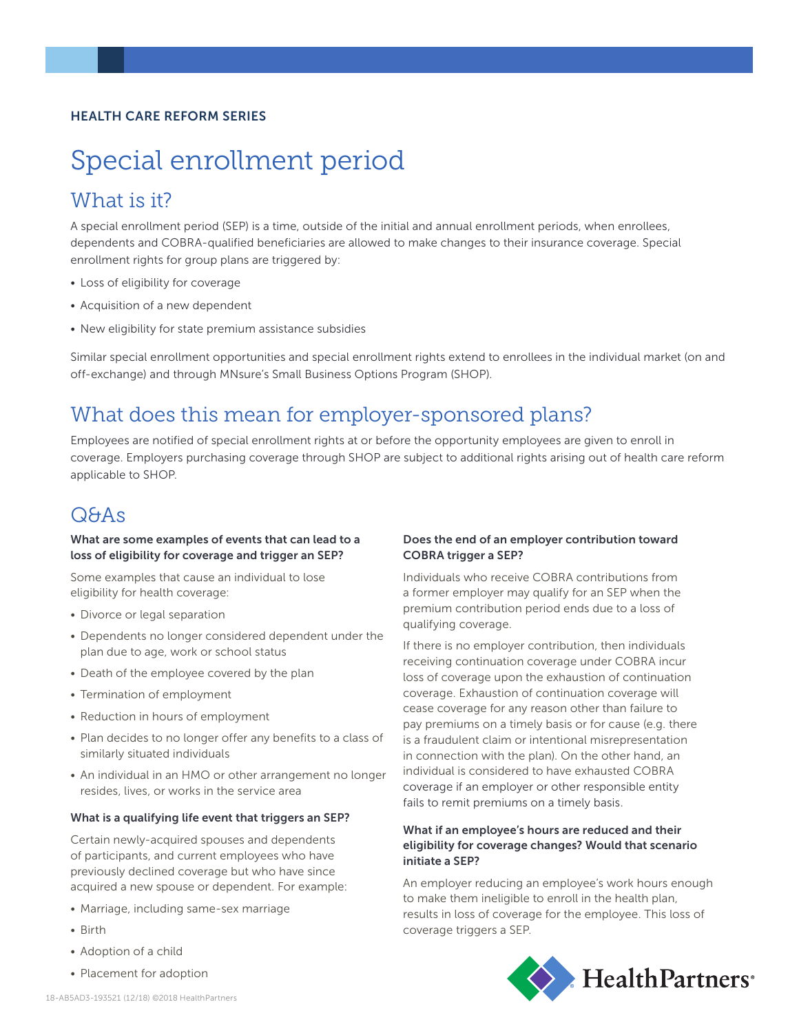#### HEALTH CARE REFORM SERIES

# Special enrollment period

# What is it?

A special enrollment period (SEP) is a time, outside of the initial and annual enrollment periods, when enrollees, dependents and COBRA-qualified beneficiaries are allowed to make changes to their insurance coverage. Special enrollment rights for group plans are triggered by:

- Loss of eligibility for coverage
- Acquisition of a new dependent
- New eligibility for state premium assistance subsidies

Similar special enrollment opportunities and special enrollment rights extend to enrollees in the individual market (on and off-exchange) and through MNsure's Small Business Options Program (SHOP).

## What does this mean for employer-sponsored plans?

Employees are notified of special enrollment rights at or before the opportunity employees are given to enroll in coverage. Employers purchasing coverage through SHOP are subject to additional rights arising out of health care reform applicable to SHOP.

### Q&As

#### What are some examples of events that can lead to a loss of eligibility for coverage and trigger an SEP?

Some examples that cause an individual to lose eligibility for health coverage:

- Divorce or legal separation
- Dependents no longer considered dependent under the plan due to age, work or school status
- Death of the employee covered by the plan
- Termination of employment
- Reduction in hours of employment
- Plan decides to no longer offer any benefits to a class of similarly situated individuals
- An individual in an HMO or other arrangement no longer resides, lives, or works in the service area

#### What is a qualifying life event that triggers an SEP?

Certain newly-acquired spouses and dependents of participants, and current employees who have previously declined coverage but who have since acquired a new spouse or dependent. For example:

- Marriage, including same-sex marriage
- Birth
- Adoption of a child
- Placement for adoption

#### Does the end of an employer contribution toward COBRA trigger a SEP?

Individuals who receive COBRA contributions from a former employer may qualify for an SEP when the premium contribution period ends due to a loss of qualifying coverage.

If there is no employer contribution, then individuals receiving continuation coverage under COBRA incur loss of coverage upon the exhaustion of continuation coverage. Exhaustion of continuation coverage will cease coverage for any reason other than failure to pay premiums on a timely basis or for cause (e.g. there is a fraudulent claim or intentional misrepresentation in connection with the plan). On the other hand, an individual is considered to have exhausted COBRA coverage if an employer or other responsible entity fails to remit premiums on a timely basis.

#### What if an employee's hours are reduced and their eligibility for coverage changes? Would that scenario initiate a SEP?

An employer reducing an employee's work hours enough to make them ineligible to enroll in the health plan, results in loss of coverage for the employee. This loss of coverage triggers a SEP.